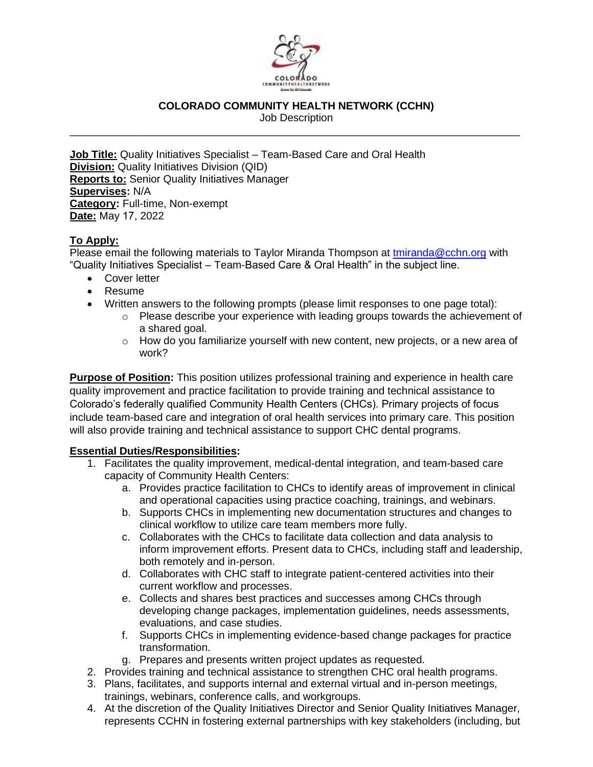

# **COLORADO COMMUNITY HEALTH NETWORK (CCHN)**

Job Description \_\_\_\_\_\_\_\_\_\_\_\_\_\_\_\_\_\_\_\_\_\_\_\_\_\_\_\_\_\_\_\_\_\_\_\_\_\_\_\_\_\_\_\_\_\_\_\_\_\_\_\_\_\_\_\_\_\_\_\_\_\_\_\_\_\_\_\_\_\_\_\_\_\_\_\_

**Job Title:** Quality Initiatives Specialist – Team-Based Care and Oral Health **Division:** Quality Initiatives Division (QID) **Reports to:** Senior Quality Initiatives Manager **Supervises:** N/A **Category:** Full-time, Non-exempt **Date:** May 17, 2022

# **To Apply:**

Please email the following materials to Taylor Miranda Thompson at [tmiranda@cchn.org](mailto:tmiranda@cchn.org) with "Quality Initiatives Specialist – Team-Based Care & Oral Health" in the subject line.

- Cover letter
- Resume
- Written answers to the following prompts (please limit responses to one page total):
	- o Please describe your experience with leading groups towards the achievement of a shared goal.
	- o How do you familiarize yourself with new content, new projects, or a new area of work?

**Purpose of Position:** This position utilizes professional training and experience in health care quality improvement and practice facilitation to provide training and technical assistance to Colorado's federally qualified Community Health Centers (CHCs). Primary projects of focus include team-based care and integration of oral health services into primary care. This position will also provide training and technical assistance to support CHC dental programs.

#### **Essential Duties/Responsibilities:**

- 1. Facilitates the quality improvement, medical-dental integration, and team-based care capacity of Community Health Centers:
	- a. Provides practice facilitation to CHCs to identify areas of improvement in clinical and operational capacities using practice coaching, trainings, and webinars.
	- b. Supports CHCs in implementing new documentation structures and changes to clinical workflow to utilize care team members more fully.
	- c. Collaborates with the CHCs to facilitate data collection and data analysis to inform improvement efforts. Present data to CHCs, including staff and leadership, both remotely and in-person.
	- d. Collaborates with CHC staff to integrate patient-centered activities into their current workflow and processes.
	- e. Collects and shares best practices and successes among CHCs through developing change packages, implementation guidelines, needs assessments, evaluations, and case studies.
	- f. Supports CHCs in implementing evidence-based change packages for practice transformation.
	- g. Prepares and presents written project updates as requested.
- 2. Provides training and technical assistance to strengthen CHC oral health programs.
- 3. Plans, facilitates, and supports internal and external virtual and in-person meetings, trainings, webinars, conference calls, and workgroups.
- 4. At the discretion of the Quality Initiatives Director and Senior Quality Initiatives Manager, represents CCHN in fostering external partnerships with key stakeholders (including, but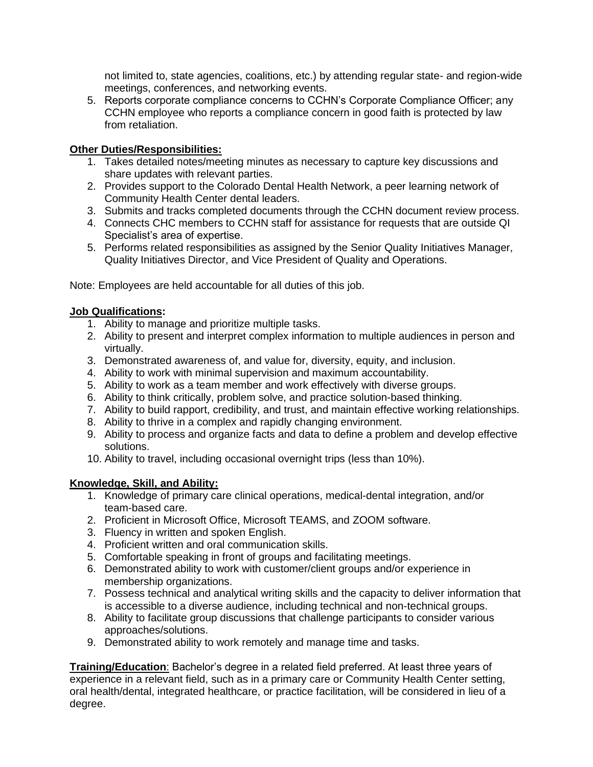not limited to, state agencies, coalitions, etc.) by attending regular state- and region-wide meetings, conferences, and networking events.

5. Reports corporate compliance concerns to CCHN's Corporate Compliance Officer; any CCHN employee who reports a compliance concern in good faith is protected by law from retaliation.

#### **Other Duties/Responsibilities:**

- 1. Takes detailed notes/meeting minutes as necessary to capture key discussions and share updates with relevant parties.
- 2. Provides support to the Colorado Dental Health Network, a peer learning network of Community Health Center dental leaders.
- 3. Submits and tracks completed documents through the CCHN document review process.
- 4. Connects CHC members to CCHN staff for assistance for requests that are outside QI Specialist's area of expertise.
- 5. Performs related responsibilities as assigned by the Senior Quality Initiatives Manager, Quality Initiatives Director, and Vice President of Quality and Operations.

Note: Employees are held accountable for all duties of this job.

# **Job Qualifications:**

- 1. Ability to manage and prioritize multiple tasks.
- 2. Ability to present and interpret complex information to multiple audiences in person and virtually.
- 3. Demonstrated awareness of, and value for, diversity, equity, and inclusion.
- 4. Ability to work with minimal supervision and maximum accountability.
- 5. Ability to work as a team member and work effectively with diverse groups.
- 6. Ability to think critically, problem solve, and practice solution-based thinking.
- 7. Ability to build rapport, credibility, and trust, and maintain effective working relationships.
- 8. Ability to thrive in a complex and rapidly changing environment.
- 9. Ability to process and organize facts and data to define a problem and develop effective solutions.
- 10. Ability to travel, including occasional overnight trips (less than 10%).

# **Knowledge, Skill, and Ability:**

- 1. Knowledge of primary care clinical operations, medical-dental integration, and/or team-based care.
- 2. Proficient in Microsoft Office, Microsoft TEAMS, and ZOOM software.
- 3. Fluency in written and spoken English.
- 4. Proficient written and oral communication skills.
- 5. Comfortable speaking in front of groups and facilitating meetings.
- 6. Demonstrated ability to work with customer/client groups and/or experience in membership organizations.
- 7. Possess technical and analytical writing skills and the capacity to deliver information that is accessible to a diverse audience, including technical and non-technical groups.
- 8. Ability to facilitate group discussions that challenge participants to consider various approaches/solutions.
- 9. Demonstrated ability to work remotely and manage time and tasks.

**Training/Education**: Bachelor's degree in a related field preferred. At least three years of experience in a relevant field, such as in a primary care or Community Health Center setting, oral health/dental, integrated healthcare, or practice facilitation, will be considered in lieu of a degree.